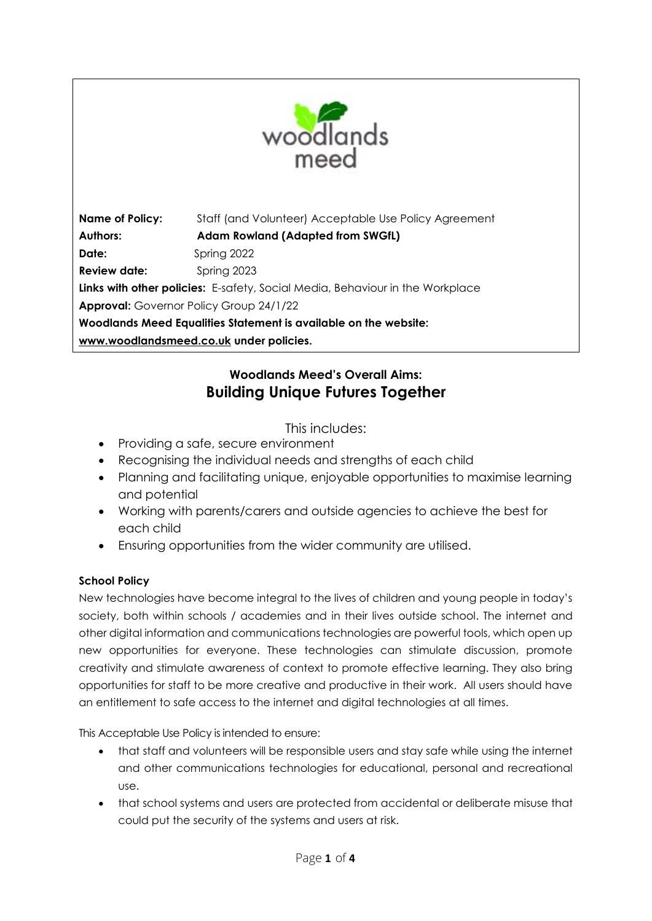

**Name of Policy:** Staff (and Volunteer) Acceptable Use Policy Agreement **Authors: Adam Rowland (Adapted from SWGfL) Date:** Spring 2022 **Review date:** Spring 2023 **Links with other policies:** E-safety, Social Media, Behaviour in the Workplace **Approval:** Governor Policy Group 24/1/22 **Woodlands Meed Equalities Statement is available on the website: [www.woodlandsmeed.co.uk](http://www.woodlandsmeed.co.uk/) under policies.** 

## **Woodlands Meed's Overall Aims: Building Unique Futures Together**

This includes:

- Providing a safe, secure environment
- Recognising the individual needs and strengths of each child
- Planning and facilitating unique, enjoyable opportunities to maximise learning and potential
- Working with parents/carers and outside agencies to achieve the best for each child
- Ensuring opportunities from the wider community are utilised.

## **School Policy**

New technologies have become integral to the lives of children and young people in today's society, both within schools / academies and in their lives outside school. The internet and other digital information and communications technologies are powerful tools, which open up new opportunities for everyone. These technologies can stimulate discussion, promote creativity and stimulate awareness of context to promote effective learning. They also bring opportunities for staff to be more creative and productive in their work. All users should have an entitlement to safe access to the internet and digital technologies at all times.

This Acceptable Use Policy is intended to ensure:

- that staff and volunteers will be responsible users and stay safe while using the internet and other communications technologies for educational, personal and recreational use.
- that school systems and users are protected from accidental or deliberate misuse that could put the security of the systems and users at risk.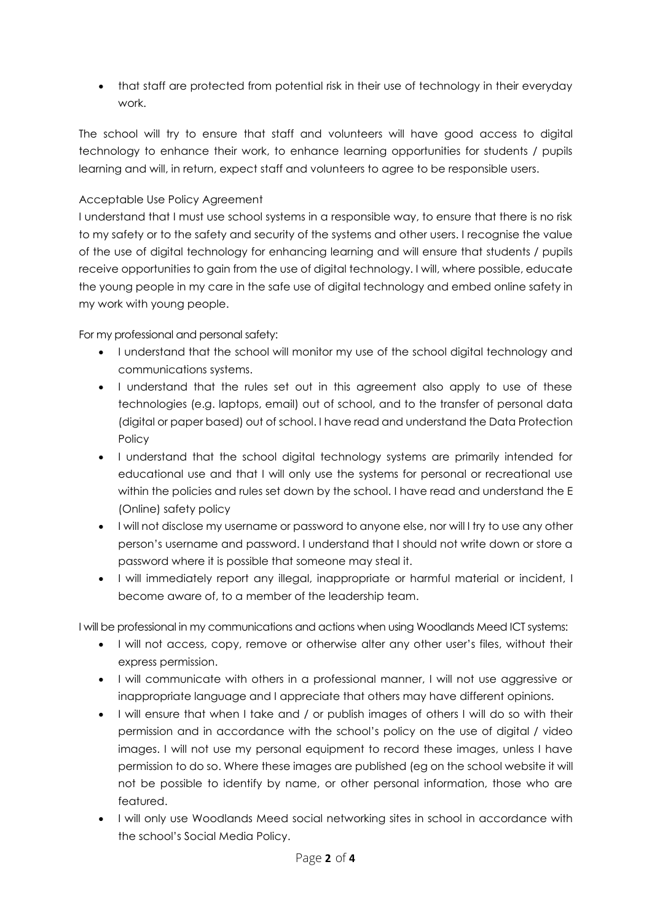• that staff are protected from potential risk in their use of technology in their everyday work.

The school will try to ensure that staff and volunteers will have good access to digital technology to enhance their work, to enhance learning opportunities for students / pupils learning and will, in return, expect staff and volunteers to agree to be responsible users.

## Acceptable Use Policy Agreement

I understand that I must use school systems in a responsible way, to ensure that there is no risk to my safety or to the safety and security of the systems and other users. I recognise the value of the use of digital technology for enhancing learning and will ensure that students / pupils receive opportunities to gain from the use of digital technology. I will, where possible, educate the young people in my care in the safe use of digital technology and embed online safety in my work with young people.

For my professional and personal safety:

- I understand that the school will monitor my use of the school digital technology and communications systems.
- I understand that the rules set out in this agreement also apply to use of these technologies (e.g. laptops, email) out of school, and to the transfer of personal data (digital or paper based) out of school. I have read and understand the Data Protection Policy
- I understand that the school digital technology systems are primarily intended for educational use and that I will only use the systems for personal or recreational use within the policies and rules set down by the school. I have read and understand the E (Online) safety policy
- I will not disclose my username or password to anyone else, nor will I try to use any other person's username and password. I understand that I should not write down or store a password where it is possible that someone may steal it.
- I will immediately report any illegal, inappropriate or harmful material or incident, I become aware of, to a member of the leadership team.

I will be professional in my communications and actions when using Woodlands Meed ICT systems:

- I will not access, copy, remove or otherwise alter any other user's files, without their express permission.
- I will communicate with others in a professional manner, I will not use aggressive or inappropriate language and I appreciate that others may have different opinions.
- I will ensure that when I take and / or publish images of others I will do so with their permission and in accordance with the school's policy on the use of digital / video images. I will not use my personal equipment to record these images, unless I have permission to do so. Where these images are published (eg on the school website it will not be possible to identify by name, or other personal information, those who are featured.
- I will only use Woodlands Meed social networking sites in school in accordance with the school's Social Media Policy.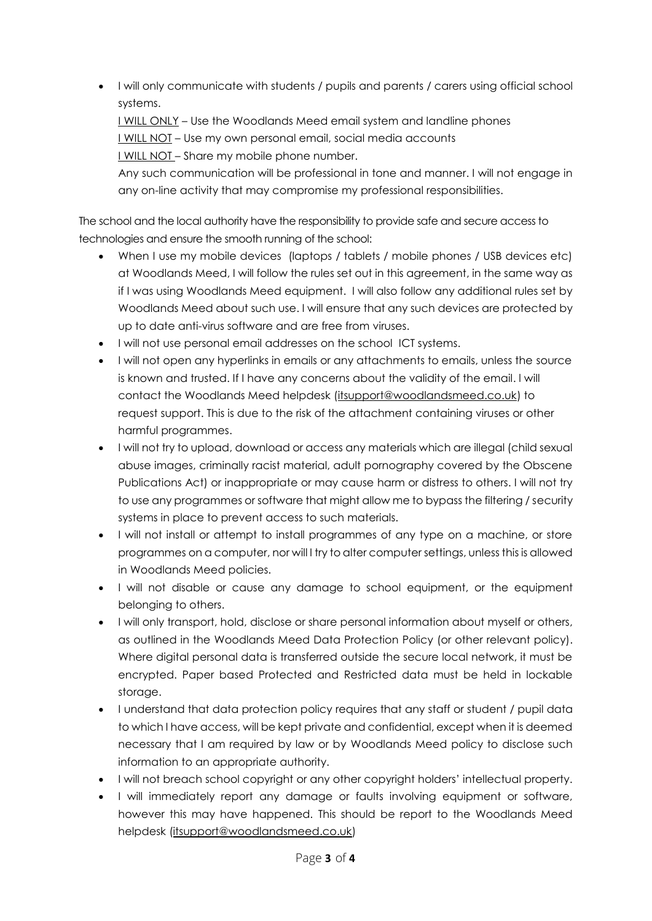I will only communicate with students / pupils and parents / carers using official school systems.

I WILL ONLY – Use the Woodlands Meed email system and landline phones I WILL NOT – Use my own personal email, social media accounts I WILL NOT – Share my mobile phone number.

Any such communication will be professional in tone and manner. I will not engage in any on-line activity that may compromise my professional responsibilities.

The school and the local authority have the responsibility to provide safe and secure access to technologies and ensure the smooth running of the school:

- When I use my mobile devices (laptops / tablets / mobile phones / USB devices etc) at Woodlands Meed, I will follow the rules set out in this agreement, in the same way as if I was using Woodlands Meed equipment. I will also follow any additional rules set by Woodlands Meed about such use. I will ensure that any such devices are protected by up to date anti-virus software and are free from viruses.
- I will not use personal email addresses on the school ICT systems.
- I will not open any hyperlinks in emails or any attachments to emails, unless the source is known and trusted. If I have any concerns about the validity of the email. l will contact the Woodlands Meed helpdesk [\(itsupport@woodlandsmeed.co.uk\)](mailto:itsupport@woodlandsmeed.co.uk) to request support. This is due to the risk of the attachment containing viruses or other harmful programmes.
- I will not try to upload, download or access any materials which are illegal (child sexual abuse images, criminally racist material, adult pornography covered by the Obscene Publications Act) or inappropriate or may cause harm or distress to others. I will not try to use any programmes or software that might allow me to bypass the filtering / security systems in place to prevent access to such materials.
- I will not install or attempt to install programmes of any type on a machine, or store programmes on a computer, nor will I try to alter computer settings, unless this is allowed in Woodlands Meed policies.
- I will not disable or cause any damage to school equipment, or the equipment belonging to others.
- I will only transport, hold, disclose or share personal information about myself or others, as outlined in the Woodlands Meed Data Protection Policy (or other relevant policy). Where digital personal data is transferred outside the secure local network, it must be encrypted. Paper based Protected and Restricted data must be held in lockable storage.
- I understand that data protection policy requires that any staff or student / pupil data to which I have access, will be kept private and confidential, except when it is deemed necessary that I am required by law or by Woodlands Meed policy to disclose such information to an appropriate authority.
- I will not breach school copyright or any other copyright holders' intellectual property.
- I will immediately report any damage or faults involving equipment or software, however this may have happened. This should be report to the Woodlands Meed helpdesk [\(itsupport@woodlandsmeed.co.uk\)](mailto:itsupport@woodlandsmeed.co.uk)